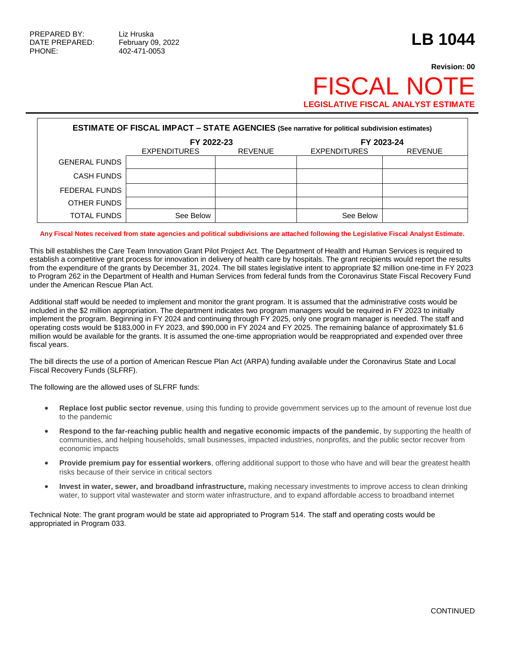## **Revision: 00 FISCAL NO LEGISLATIVE FISCAL ANALYST ESTIMA**

| <b>ESTIMATE OF FISCAL IMPACT - STATE AGENCIES (See narrative for political subdivision estimates)</b> |                     |                |                     |                |  |  |  |
|-------------------------------------------------------------------------------------------------------|---------------------|----------------|---------------------|----------------|--|--|--|
|                                                                                                       | FY 2022-23          |                | FY 2023-24          |                |  |  |  |
|                                                                                                       | <b>EXPENDITURES</b> | <b>REVENUE</b> | <b>EXPENDITURES</b> | <b>REVENUE</b> |  |  |  |
| <b>GENERAL FUNDS</b>                                                                                  |                     |                |                     |                |  |  |  |
| <b>CASH FUNDS</b>                                                                                     |                     |                |                     |                |  |  |  |
| FEDERAL FUNDS                                                                                         |                     |                |                     |                |  |  |  |
| OTHER FUNDS                                                                                           |                     |                |                     |                |  |  |  |
| <b>TOTAL FUNDS</b>                                                                                    | See Below           |                | See Below           |                |  |  |  |

## **Any Fiscal Notes received from state agencies and political subdivisions are attached following the Legislative Fiscal Analyst Estimate.**

This bill establishes the Care Team Innovation Grant Pilot Project Act. The Department of Health and Human Services is required to establish a competitive grant process for innovation in delivery of health care by hospitals. The grant recipients would report the results from the expenditure of the grants by December 31, 2024. The bill states legislative intent to appropriate \$2 million one-time in FY 2023 to Program 262 in the Department of Health and Human Services from federal funds from the Coronavirus State Fiscal Recovery Fund under the American Rescue Plan Act.

Additional staff would be needed to implement and monitor the grant program. It is assumed that the administrative costs would be included in the \$2 million appropriation. The department indicates two program managers would be required in FY 2023 to initially implement the program. Beginning in FY 2024 and continuing through FY 2025, only one program manager is needed. The staff and operating costs would be \$183,000 in FY 2023, and \$90,000 in FY 2024 and FY 2025. The remaining balance of approximately \$1.6 million would be available for the grants. It is assumed the one-time appropriation would be reappropriated and expended over three fiscal years.

The bill directs the use of a portion of American Rescue Plan Act (ARPA) funding available under the Coronavirus State and Local Fiscal Recovery Funds (SLFRF).

The following are the allowed uses of SLFRF funds:

- **Replace lost public sector revenue**, using this funding to provide government services up to the amount of revenue lost due to the pandemic
- **Respond to the far-reaching public health and negative economic impacts of the pandemic**, by supporting the health of communities, and helping households, small businesses, impacted industries, nonprofits, and the public sector recover from economic impacts
- **Provide premium pay for essential workers**, offering additional support to those who have and will bear the greatest health risks because of their service in critical sectors
- **Invest in water, sewer, and broadband infrastructure,** making necessary investments to improve access to clean drinking water, to support vital wastewater and storm water infrastructure, and to expand affordable access to broadband internet

Technical Note: The grant program would be state aid appropriated to Program 514. The staff and operating costs would be appropriated in Program 033.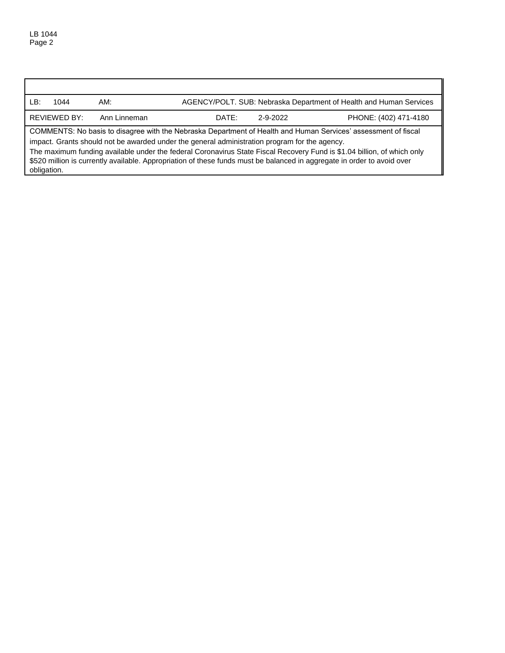obligation.

LB: 1044 AM: AGENCY/POLT. SUB: Nebraska Department of Health and Human Services REVIEWED BY: Ann Linneman DATE: 2-9-2022 PHONE: (402) 471-4180 COMMENTS: No basis to disagree with the Nebraska Department of Health and Human Services' assessment of fiscal impact. Grants should not be awarded under the general administration program for the agency. The maximum funding available under the federal Coronavirus State Fiscal Recovery Fund is \$1.04 billion, of which only \$520 million is currently available. Appropriation of these funds must be balanced in aggregate in order to avoid over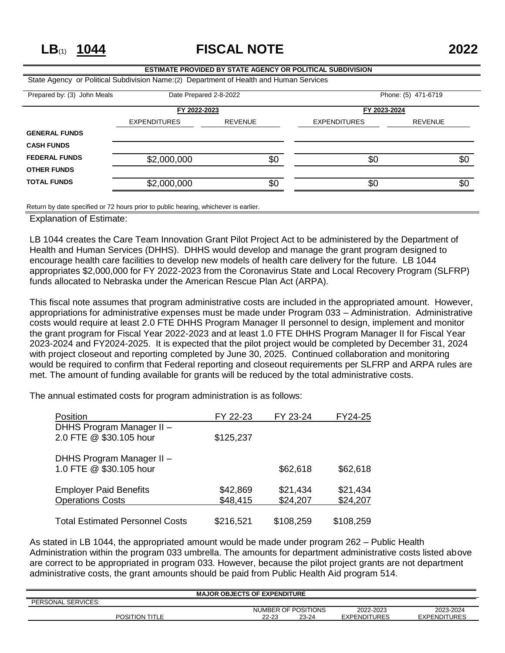**LB**(1) **1044 FISCAL NOTE 2022**

## **ESTIMATE PROVIDED BY STATE AGENCY OR POLITICAL SUBDIVISION** State Agency or Political Subdivision Name:(2) Department of Health and Human Services Prepared by: (3) John Meals Date Prepared 2-8-2022 Phone: (5) 471-6719 **FY 2022-2023 FY 2023-2024** EXPENDITURES REVENUE EXPENDITURES REVENUE **GENERAL FUNDS CASH FUNDS FEDERAL FUNDS** \$2,000,000 \$0 \$0 \$0 \$0 \$0 \$0 **OTHER FUNDS TOTAL FUNDS** \$2,000,000 \$0 \$0 \$0 \$0 \$0 \$0

Return by date specified or 72 hours prior to public hearing, whichever is earlier.

Explanation of Estimate:

LB 1044 creates the Care Team Innovation Grant Pilot Project Act to be administered by the Department of Health and Human Services (DHHS). DHHS would develop and manage the grant program designed to encourage health care facilities to develop new models of health care delivery for the future. LB 1044 appropriates \$2,000,000 for FY 2022-2023 from the Coronavirus State and Local Recovery Program (SLFRP) funds allocated to Nebraska under the American Rescue Plan Act (ARPA).

This fiscal note assumes that program administrative costs are included in the appropriated amount. However, appropriations for administrative expenses must be made under Program 033 – Administration. Administrative costs would require at least 2.0 FTE DHHS Program Manager II personnel to design, implement and monitor the grant program for Fiscal Year 2022-2023 and at least 1.0 FTE DHHS Program Manager II for Fiscal Year 2023-2024 and FY2024-2025. It is expected that the pilot project would be completed by December 31, 2024 with project closeout and reporting completed by June 30, 2025. Continued collaboration and monitoring would be required to confirm that Federal reporting and closeout requirements per SLFRP and ARPA rules are met. The amount of funding available for grants will be reduced by the total administrative costs.

The annual estimated costs for program administration is as follows:

| Position                               | FY 22-23  | FY 23-24  | FY24-25   |
|----------------------------------------|-----------|-----------|-----------|
| DHHS Program Manager II -              |           |           |           |
| 2.0 FTE @ \$30.105 hour                | \$125,237 |           |           |
|                                        |           |           |           |
| DHHS Program Manager II -              |           |           |           |
| 1.0 FTE @ \$30.105 hour                |           | \$62,618  | \$62,618  |
|                                        |           |           |           |
| <b>Employer Paid Benefits</b>          | \$42,869  | \$21,434  | \$21,434  |
| <b>Operations Costs</b>                | \$48,415  | \$24,207  | \$24,207  |
|                                        |           |           |           |
| <b>Total Estimated Personnel Costs</b> | \$216,521 | \$108,259 | \$108,259 |

As stated in LB 1044, the appropriated amount would be made under program 262 – Public Health Administration within the program 033 umbrella. The amounts for department administrative costs listed above are correct to be appropriated in program 033. However, because the pilot project grants are not department administrative costs, the grant amounts should be paid from Public Health Aid program 514.

| <b>MAJOR OBJECTS OF EXPENDITURE</b> |                       |           |                     |                     |                     |  |
|-------------------------------------|-----------------------|-----------|---------------------|---------------------|---------------------|--|
| PERSONAL SERVICES:                  |                       |           |                     |                     |                     |  |
|                                     |                       |           | NUMBER OF POSITIONS | 2022-2023           | 2023-2024           |  |
|                                     | <b>POSITION TITLE</b> | $22 - 23$ | 23-24               | <b>EXPENDITURES</b> | <b>EXPENDITURES</b> |  |